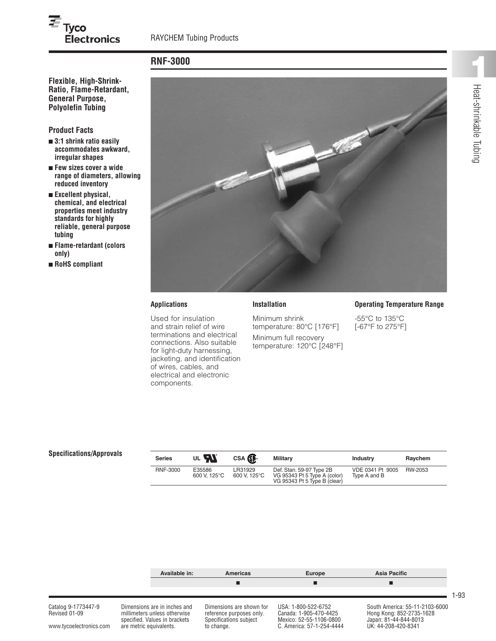# **RNF-3000**

**Ratio, Flame-Retardant, General Purpose, Polyolefin Tubing**

**Electronics** 

### **Product Facts**

 $\overline{\boldsymbol{\varepsilon}}_{\text{Tyco}}$ 

- **■ 3:1 shrink ratio easily accommodates awkward, irregular shapes**
- **■ Few sizes cover a wide range of diameters, allowing reduced inventory**
- **■ Excellent physical, chemical, and electrical properties meet industry standards for highly reliable, general purpose tubing**
- **■ Flame-retardant (colors only)**
- **■ RoHS compliant**



**Installation**

Minimum shrink

temperature: 80°C [176°F] Minimum full recovery temperature: 120°C [248°F]

### **Applications**

Used for insulation and strain relief of wire terminations and electrical connections. Also suitable for light-duty harnessing, jacketing, and identification of wires, cables, and electrical and electronic components.

#### **Operating Temperature Range**

-55°C to 135°C [-67°F to 275°F]

# **Specifications/Approvals**

| <b>Series</b>   | UL <b>AL</b>           | CSA <b>SP</b>           | <b>Military</b>                                                                          | <b>Industry</b>                  | Raychem |
|-----------------|------------------------|-------------------------|------------------------------------------------------------------------------------------|----------------------------------|---------|
| <b>RNF-3000</b> | E35586<br>600 V. 125°C | LR31929<br>600 V. 125°C | Def. Stan. 59-97 Type 2B<br>VG 95343 Pt 5 Type A (color)<br>VG 95343 Pt 5 Type B (clear) | VDE 0341 Pt 9005<br>Type A and B | RW-2053 |



1-93